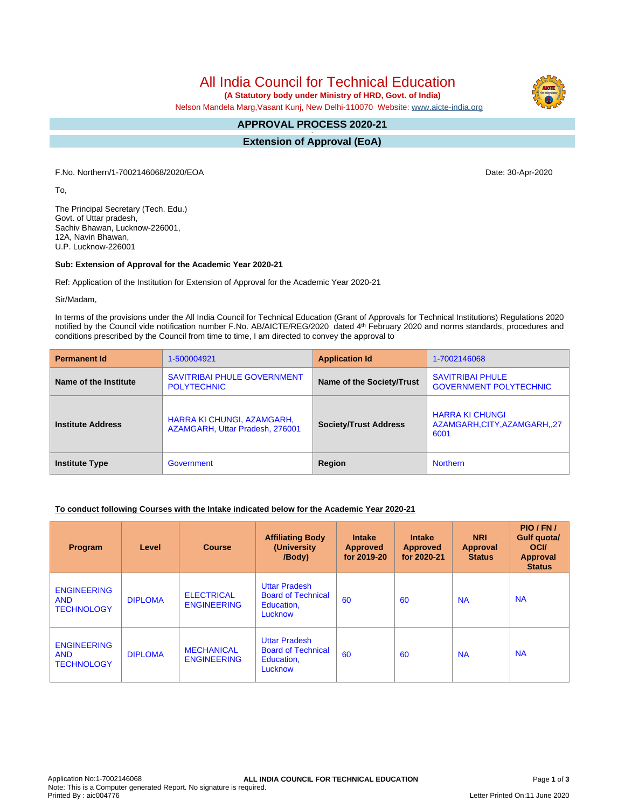# All India Council for Technical Education

 **(A Statutory body under Ministry of HRD, Govt. of India)**

Nelson Mandela Marg,Vasant Kunj, New Delhi-110070 Website: [www.aicte-india.org](http://www.aicte-india.org)

#### **APPROVAL PROCESS 2020-21 -**

**Extension of Approval (EoA)**

F.No. Northern/1-7002146068/2020/EOA Date: 30-Apr-2020

To,

The Principal Secretary (Tech. Edu.) Govt. of Uttar pradesh, Sachiv Bhawan, Lucknow-226001, 12A, Navin Bhawan, U.P. Lucknow-226001

### **Sub: Extension of Approval for the Academic Year 2020-21**

Ref: Application of the Institution for Extension of Approval for the Academic Year 2020-21

Sir/Madam,

In terms of the provisions under the All India Council for Technical Education (Grant of Approvals for Technical Institutions) Regulations 2020 notified by the Council vide notification number F.No. AB/AICTE/REG/2020 dated 4<sup>th</sup> February 2020 and norms standards, procedures and conditions prescribed by the Council from time to time, I am directed to convey the approval to

| <b>Permanent Id</b>      | 1-500004921                                                   | <b>Application Id</b>     | 1-7002146068                                                 |  |
|--------------------------|---------------------------------------------------------------|---------------------------|--------------------------------------------------------------|--|
| Name of the Institute    | <b>SAVITRIBAI PHULE GOVERNMENT</b><br><b>POLYTECHNIC</b>      | Name of the Society/Trust | <b>SAVITRIBAI PHULE</b><br><b>GOVERNMENT POLYTECHNIC</b>     |  |
| <b>Institute Address</b> | HARRA KI CHUNGI, AZAMGARH,<br>AZAMGARH, Uttar Pradesh, 276001 |                           | <b>HARRA KI CHUNGI</b><br>AZAMGARH,CITY,AZAMGARH,,27<br>6001 |  |
| <b>Institute Type</b>    | Government                                                    | Region                    | <b>Northern</b>                                              |  |

### **To conduct following Courses with the Intake indicated below for the Academic Year 2020-21**

| Program                                               | Level          | <b>Course</b>                           | <b>Affiliating Body</b><br>(University<br>/Body)                           | <b>Intake</b><br><b>Approved</b><br>for 2019-20 | <b>Intake</b><br><b>Approved</b><br>for 2020-21 | <b>NRI</b><br>Approval<br><b>Status</b> | PIO/FN/<br>Gulf quota/<br><b>OCI</b><br>Approval<br><b>Status</b> |
|-------------------------------------------------------|----------------|-----------------------------------------|----------------------------------------------------------------------------|-------------------------------------------------|-------------------------------------------------|-----------------------------------------|-------------------------------------------------------------------|
| <b>ENGINEERING</b><br><b>AND</b><br><b>TECHNOLOGY</b> | <b>DIPLOMA</b> | <b>ELECTRICAL</b><br><b>ENGINEERING</b> | <b>Uttar Pradesh</b><br><b>Board of Technical</b><br>Education,<br>Lucknow | 60                                              | 60                                              | <b>NA</b>                               | <b>NA</b>                                                         |
| <b>ENGINEERING</b><br><b>AND</b><br><b>TECHNOLOGY</b> | <b>DIPLOMA</b> | <b>MECHANICAL</b><br><b>ENGINEERING</b> | <b>Uttar Pradesh</b><br><b>Board of Technical</b><br>Education,<br>Lucknow | 60                                              | 60                                              | <b>NA</b>                               | <b>NA</b>                                                         |

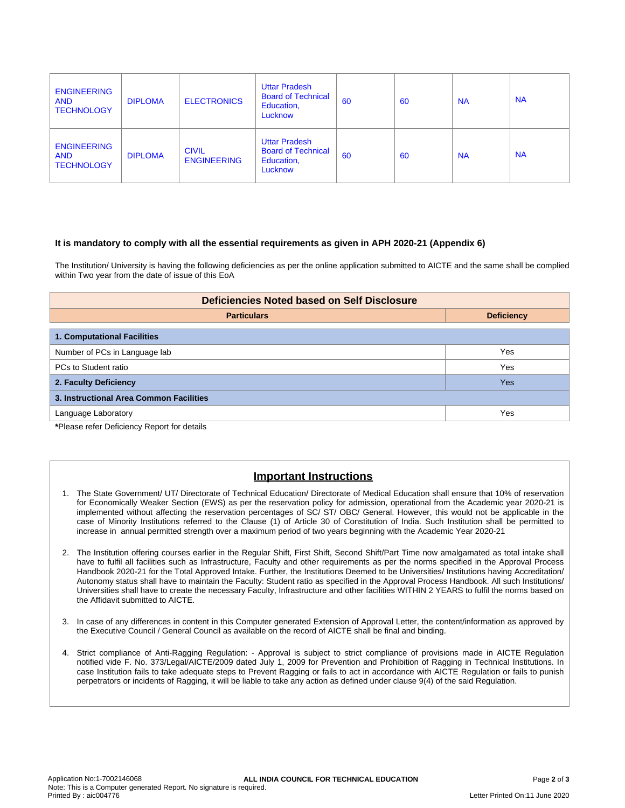| <b>ENGINEERING</b><br><b>AND</b><br><b>TECHNOLOGY</b> | <b>DIPLOMA</b> | <b>ELECTRONICS</b>                 | <b>Uttar Pradesh</b><br><b>Board of Technical</b><br>Education,<br>Lucknow | 60 | 60 | <b>NA</b> | <b>NA</b> |
|-------------------------------------------------------|----------------|------------------------------------|----------------------------------------------------------------------------|----|----|-----------|-----------|
| <b>ENGINEERING</b><br><b>AND</b><br><b>TECHNOLOGY</b> | <b>DIPLOMA</b> | <b>CIVIL</b><br><b>ENGINEERING</b> | <b>Uttar Pradesh</b><br><b>Board of Technical</b><br>Education,<br>Lucknow | 60 | 60 | <b>NA</b> | <b>NA</b> |

#### **It is mandatory to comply with all the essential requirements as given in APH 2020-21 (Appendix 6)**

The Institution/ University is having the following deficiencies as per the online application submitted to AICTE and the same shall be complied within Two year from the date of issue of this EoA

| <b>Deficiencies Noted based on Self Disclosure</b> |                   |  |  |  |
|----------------------------------------------------|-------------------|--|--|--|
| <b>Particulars</b>                                 | <b>Deficiency</b> |  |  |  |
| 1. Computational Facilities                        |                   |  |  |  |
| Number of PCs in Language lab                      | Yes               |  |  |  |
| PCs to Student ratio                               | Yes               |  |  |  |
| 2. Faculty Deficiency                              | <b>Yes</b>        |  |  |  |
| 3. Instructional Area Common Facilities            |                   |  |  |  |
| Language Laboratory                                | Yes               |  |  |  |

**\***Please refer Deficiency Report for details

## **Important Instructions**

- 1. The State Government/ UT/ Directorate of Technical Education/ Directorate of Medical Education shall ensure that 10% of reservation for Economically Weaker Section (EWS) as per the reservation policy for admission, operational from the Academic year 2020-21 is implemented without affecting the reservation percentages of SC/ ST/ OBC/ General. However, this would not be applicable in the case of Minority Institutions referred to the Clause (1) of Article 30 of Constitution of India. Such Institution shall be permitted to increase in annual permitted strength over a maximum period of two years beginning with the Academic Year 2020-21
- 2. The Institution offering courses earlier in the Regular Shift, First Shift, Second Shift/Part Time now amalgamated as total intake shall have to fulfil all facilities such as Infrastructure, Faculty and other requirements as per the norms specified in the Approval Process Handbook 2020-21 for the Total Approved Intake. Further, the Institutions Deemed to be Universities/ Institutions having Accreditation/ Autonomy status shall have to maintain the Faculty: Student ratio as specified in the Approval Process Handbook. All such Institutions/ Universities shall have to create the necessary Faculty, Infrastructure and other facilities WITHIN 2 YEARS to fulfil the norms based on the Affidavit submitted to AICTE.
- 3. In case of any differences in content in this Computer generated Extension of Approval Letter, the content/information as approved by the Executive Council / General Council as available on the record of AICTE shall be final and binding.
- 4. Strict compliance of Anti-Ragging Regulation: Approval is subject to strict compliance of provisions made in AICTE Regulation notified vide F. No. 373/Legal/AICTE/2009 dated July 1, 2009 for Prevention and Prohibition of Ragging in Technical Institutions. In case Institution fails to take adequate steps to Prevent Ragging or fails to act in accordance with AICTE Regulation or fails to punish perpetrators or incidents of Ragging, it will be liable to take any action as defined under clause 9(4) of the said Regulation.